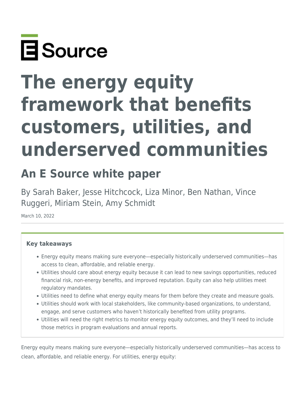

## **The energy equity framework that benefits customers, utilities, and underserved communities**

## **An E Source white paper**

By Sarah Baker, Jesse Hitchcock, Liza Minor, Ben Nathan, Vince Ruggeri, Miriam Stein, Amy Schmidt

March 10, 2022

## **Key takeaways**

- Energy equity means making sure everyone—especially historically underserved communities—has access to clean, affordable, and reliable energy.
- Utilities should care about energy equity because it can lead to new savings opportunities, reduced financial risk, non-energy benefits, and improved reputation. Equity can also help utilities meet regulatory mandates.
- Utilities need to define what energy equity means for them before they create and measure goals.
- Utilities should work with local stakeholders, like community-based organizations, to understand, engage, and serve customers who haven't historically benefited from utility programs.
- Utilities will need the right metrics to monitor energy equity outcomes, and they'll need to include those metrics in program evaluations and annual reports.

Energy equity means making sure everyone—especially historically underserved communities—has access to clean, affordable, and reliable energy. For utilities, energy equity: